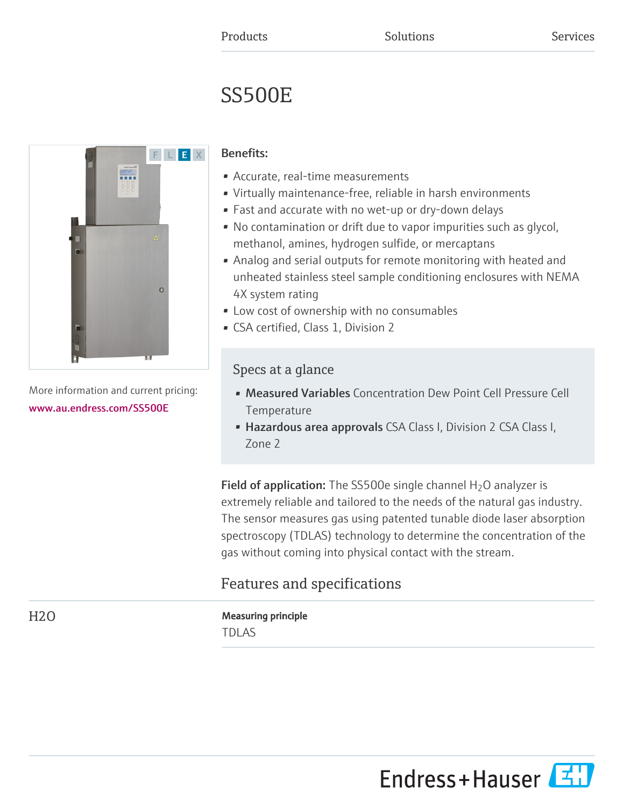# SS500E



More information and current pricing: [www.au.endress.com/SS500E](https://www.au.endress.com/SS500E)

### Benefits:

- Accurate, real-time measurements
- Virtually maintenance-free, reliable in harsh environments
- Fast and accurate with no wet-up or dry-down delays
- No contamination or drift due to vapor impurities such as glycol, methanol, amines, hydrogen sulfide, or mercaptans
- Analog and serial outputs for remote monitoring with heated and unheated stainless steel sample conditioning enclosures with NEMA 4X system rating
- Low cost of ownership with no consumables
- CSA certified, Class 1, Division 2

## Specs at a glance

- Measured Variables Concentration Dew Point Cell Pressure Cell Temperature
- Hazardous area approvals CSA Class I, Division 2 CSA Class I, Zone 2

**Field of application:** The SS500e single channel  $H_2O$  analyzer is extremely reliable and tailored to the needs of the natural gas industry. The sensor measures gas using patented tunable diode laser absorption spectroscopy (TDLAS) technology to determine the concentration of the gas without coming into physical contact with the stream.

# Features and specifications

# H<sub>2</sub>O Measuring principle

TDLAS

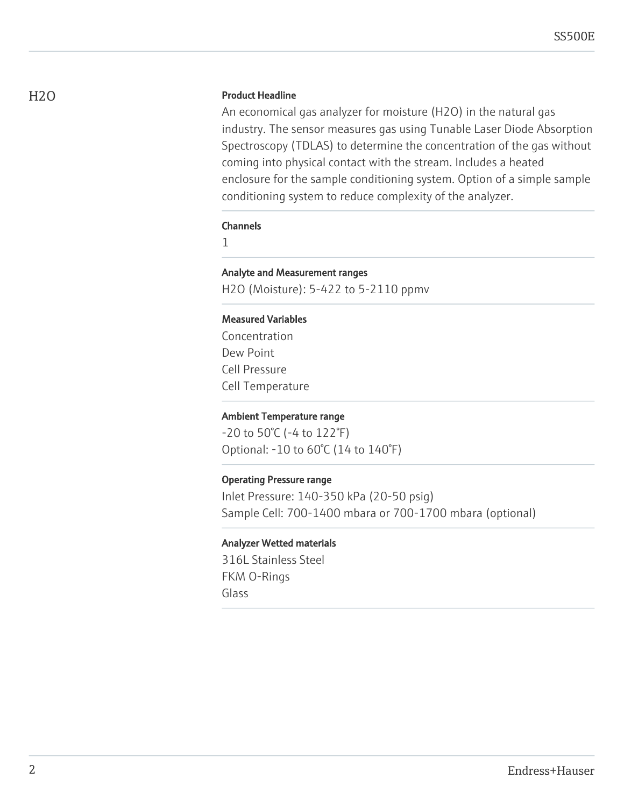#### H<sub>2</sub>O Product Headline

An economical gas analyzer for moisture (H2O) in the natural gas industry. The sensor measures gas using Tunable Laser Diode Absorption Spectroscopy (TDLAS) to determine the concentration of the gas without coming into physical contact with the stream. Includes a heated enclosure for the sample conditioning system. Option of a simple sample conditioning system to reduce complexity of the analyzer.

#### Channels

1

#### Analyte and Measurement ranges

H2O (Moisture): 5-422 to 5-2110 ppmv

#### Measured Variables

Concentration Dew Point Cell Pressure Cell Temperature

#### Ambient Temperature range

-20 to 50°C (-4 to 122°F) Optional: -10 to 60°C (14 to 140°F)

#### Operating Pressure range

Inlet Pressure: 140-350 kPa (20-50 psig) Sample Cell: 700-1400 mbara or 700-1700 mbara (optional)

#### Analyzer Wetted materials

316L Stainless Steel FKM O-Rings Glass